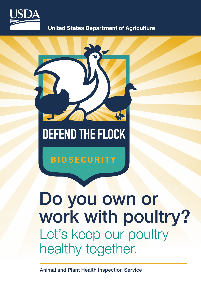

**United States Department of Agriculture** 



## **DEFEND THE FLOCK**

### **BIOSECURITY**

# Do you own or work with poultry? Let's keep our poultry healthy together.

Animal and Plant Health Inspection Service